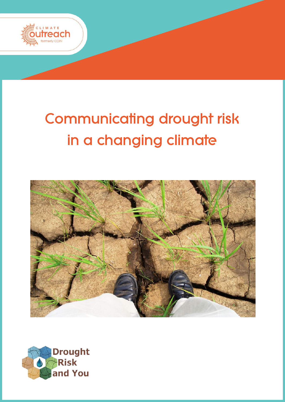

# **Communicating drought risk** in a changing climate



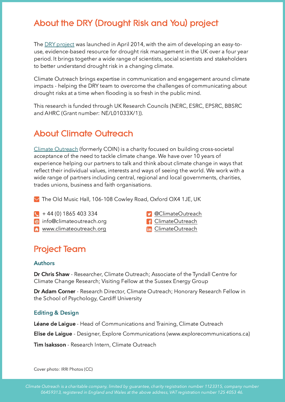# About the DRY (Drought Risk and You) project

The <u>DRY project</u> was launched in April 2014, with the aim of developing an easy-touse, evidence-based resource for drought risk management in the UK over a four year period. It brings together a wide range of scientists, social scientists and stakeholders to better understand drought risk in a changing climate.

Climate Outreach brings expertise in communication and engagement around climate impacts - helping the DRY team to overcome the challenges of communicating about drought risks at a time when flooding is so fresh in the public mind.

This research is funded through UK Research Councils (NERC, ESRC, EPSRC, BBSRC and AHRC (Grant number: NE/L01033X/1)).

# About Climate Outreach

Climate Outreach (formerly COIN) is a charity focused on building cross-societal acceptance of the need to tackle climate change. We have over 10 years of experience helping our partners to talk and think about climate change in ways that reflect their individual values, interests and ways of seeing the world. We work with a wide range of partners including central, regional and local governments, charities, trades unions, business and faith organisations.

The Old Music Hall, 106-108 Cowley Road, Oxford OX4 1JE, UK

- + 44 (0) 1865 40
- **@** info@climateoutreach.org **CODES CO** entries a strate outreach
- G www.climateoutreach.org **Communist Control**ogy entries a line ClimateOutreach
- **D** @ClimateOutreach
- -

## **Project Team**

#### **Authors**

**Dr Chris Shaw** - Researcher, Climate Outreach; Associate of the Tyndall Centre for Climate Change Research; Visiting Fellow at the Sussex Energy Group

**Dr Adam Corner** - Research Director, Climate Outreach; Honorary Research Fellow ir the School of Psychology, Cardiff University

#### **Editing & Design**

Léane de Laigue - Head of Communications and Training, Climate Outreach

**Elise de Laigue** - Designer, Explore Communications (www.explorecommunications.ca)

Tim Isaksson - Research Intern, Climate Outreach

Cover photo: IRRI Photos (CC)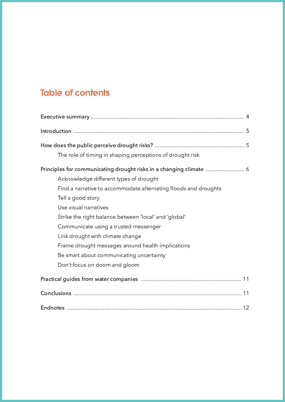# **Table of contents**

| The role of timing in shaping perceptions of drought risk           |  |
|---------------------------------------------------------------------|--|
| Principles for communicating drought risks in a changing climate  6 |  |
| Acknowledge different types of drought                              |  |
| Find a narrative to accommodate alternating floods and droughts     |  |
| Tell a good story                                                   |  |
| Use visual narratives                                               |  |
| Strike the right balance between 'local' and 'global'               |  |
| Communicate using a trusted messenger                               |  |
| Link drought with climate change                                    |  |
| Frame drought messages around health implications                   |  |
| Be smart about communicating uncertainty                            |  |
| Don't focus on doom and gloom                                       |  |
|                                                                     |  |
|                                                                     |  |
|                                                                     |  |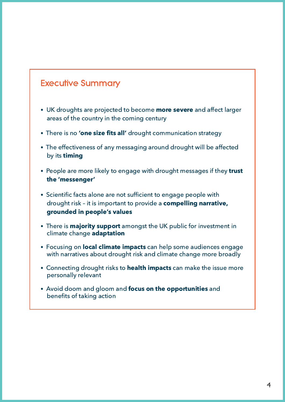# **Executive Summary**

- UK droughts are projected to become more severe and affect larger areas of the country in the coming century
- There is no 'one size fits all' drought communication strategy
- The effectiveness of any messaging around drought will be affected by its timing
- People are more likely to engage with drought messages if they trust the 'messenger'
- Scientific facts alone are not sufficient to engage people with drought risk - it is important to provide a compelling narrative, grounded in people's values
- There is **majority support** amongst the UK public for investment in climate change adaptation
- Focusing on **local climate impacts** can help some audiences engage with narratives about drought risk and climate change more broadly
- Connecting drought risks to health impacts can make the issue more personally relevant
- Avoid doom and gloom and focus on the opportunities and benefits of taking action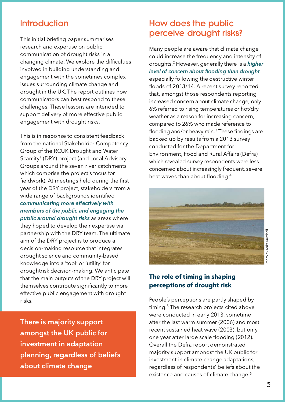## **Introduction**

This initial briefing paper summarises research and expertise on public communication of drought risks in a changing climate. We explore the difficulties involved in building understanding and engagement with the sometimes complex issues surrounding climate change and drought in the UK. The report outlines how communicators can best respond to these challenges. These lessons are intended to support delivery of more effective public engagement with drought risks.

This is in response to consistent feedback from the national Stakeholder Competency Group of the RCUK Drought and Water Scarcity<sup>1</sup> (DRY) project (and Local Advisory Groups around the seven river catchments which comprise the project's focus for fieldwork). At meetings held during the first year of the DRY project, stakeholders from a wide range of backgrounds identified communicating more effectively with members of the public and engaging the public around drought risks as areas where they hoped to develop their expertise via partnership with the DRY team. The ultimate aim of the DRY project is to produce a decision-making resource that integrates drought science and community-based knowledge into a 'tool' or 'utility' for droughtrisk decision-making. We anticipate that the main outputs of the DRY project will themselves contribute significantly to more effective public engagement with drought risks.

There is majority support amongst the UK public for investment in adaptation planning, regardless of beliefs about climate change

## How does the public perceive drought risks?

Many people are aware that climate change could increase the frequency and intensity of droughts.<sup>2</sup> However, generally there is a **higher** level of concern about flooding than drought, especially following the destructive winter floods of 2013/14. A recent survey reportec that, amongst those respondents reporting increased concern about climate change, only 6% referred to rising temperatures or hot/dry weather as a reason for increasing concern, compared to 26% who made reference to flooding and/or heavy rain. $^3$  These findings are backed up by results from a 2013 survey conducted for the Department for Environment, Food and Rural Affairs (Defra) which revealed survey respondents were less concerned about increasingly frequent, severe heat waves than about flooding.<sup>4</sup>



#### The role of timing in shaping perceptions of drought risk

People's perceptions are partly shaped by timing.<sup>5</sup> The research projects cited above were conducted in early 2013, sometime after the last warm summer (2006) and most recent sustained heat wave (2003), but only one year after large scale flooding (2012). Overall the Defra report demonstrated majority support amongst the UK public for investment in climate change adaptations, regardless of respondents' beliefs about the existence and causes of climate change.<sup>6</sup>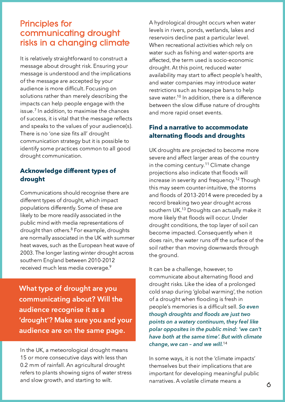### **Principles for** communicating drought risks in a changing climate

It is relatively straightforward to construct a message about drought risk. Ensuring your message is understood and the implications of the message are accepted by your audience is more difficult. Focusing on solutions rather than merely describing the impacts can help people engage with the issue. $^\prime$  In addition, to maximise the chances of success, it is vital that the message reflects and speaks to the values of your audience(s). There is no 'one size fits all' drought communication strategy but it is possible to identify some practices common to all good drought communication.

#### **Acknowledge different types of** drought

Communications should recognise there are different types of drought, which impact populations differently. Some of these are likely to be more readily associated in the public mind with media representations of drought than others.<sup>8</sup> For example, droughts are normally associated in the UK with summer heat waves, such as the European heat wave of 2003. The longer lasting winter drought across southern England between 2010-2012 received much less media coverage. $^9$ 

What type of drought are you communicating about? Will the audience recognise it as a 'drought'? Make sure you and your audience are on the same page.

In the UK, a meteorological drought means 15 or more consecutive days with less than 0.2 mm of rainfall. An agricultural drought refers to plants showing signs of water stress and slow growth, and starting to wilt.

A hydrological drought occurs when water levels in rivers, ponds, wetlands, lakes and reservoirs decline past a particular level. When recreational activities which rely on water such as fishing and water-sports are affected, the term used is socio-economic drought. At this point, reduced water availability may start to affect people's health, and water companies may introduce water restrictions such as hosepipe bans to help save water.<sup>10</sup> In addition, there is a difference between the slow diffuse nature of droughts and more rapid onset events.

#### **Find a narrative to accommodate** alternating floods and droughts

UK droughts are projected to become more severe and affect larger areas of the country in the coming century.<sup>11</sup> Climate change projections also indicate that floods will increase in severity and frequency. $^{12}$  Though this may seem counter-intuitive, the storms and floods of 2013-2014 were preceded by a record breaking two year drought across southern UK.<sup>13</sup> Droughts can actually make it more likely that floods will occur. Under drought conditions, the top layer of soil can become impacted. Consequently when it does rain, the water runs off the surface of the soil rather than moving downwards through the ground.

It can be a challenge, however, to communicate about alternating flood and drought risks. Like the idea of a prolonged cold snap during 'global warming', the notion of a drought when flooding is fresh in people's memories is a difficult sell. So even though droughts and floods are just two points on a watery continuum, they feel like polar opposites in the public mind: 'we can't have both at the same time'. But with climate change, we can - and we will.<sup>14</sup>

In some ways, it is not the 'climate impacts' themselves but their implications that are important for developing meaningful public narratives. A volatile climate means a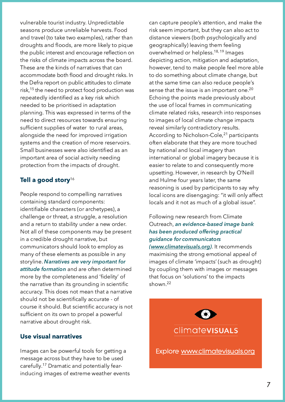vulnerable tourist industry. Unpredictable seasons produce unreliable harvests. Food and travel (to take two examples), rather than droughts and floods, are more likely to pique the public interest and encourage reflection on the risks of climate impacts across the board. These are the kinds of narratives that can accommodate both flood and drought risks. In the Defra report on public attitudes to climate risk,<sup>15</sup> the need to protect food production was repeatedly identified as a key risk which needed to be prioritised in adaptation planning. This was expressed in terms of the need to direct resources towards ensuring sufficient supplies of water to rural areas, alongside the need for improved irrigation systems and the creation of more reservoirs. Small businesses were also identified as an important area of social activity needing protection from the impacts of drought.

#### Tell a good story $^{16}$

People respond to compelling narratives containing standard components: identifiable characters (or archetypes), a challenge or threat, a struggle, a resolution and a return to stability under a new order. Not all of these components may be present in a credible drought narrative, but communicators should look to employ as many of these elements as possible in any storyline. **Narratives are very important for** attitude formation and are often determined more by the completeness and 'fidelity' of the narrative than its grounding in scientific accuracy. This does not mean that a narrative should not be scientifically accurate - of course it should. But scientific accuracy is not sufficient on its own to propel a powerful narrative about drought risk.

#### Use visual narratives

Images can be powerful tools for getting a message across but they have to be used carefully.<sup>17</sup> Dramatic and potentially fearinducing images of extreme weather events can capture people's attention, and make the risk seem important, but they can also act to distance viewers (both psychologically and geographically) leaving them feeling overwhelmed or helpless.<sup>18, 19</sup> Images depicting action, mitigation and adaptation, however, tend to make people feel more able to do something about climate change, but at the same time can also reduce people's sense that the issue is an important one. $^{20}$ Echoing the points made previously about the use of local frames in communicating climate related risks, research into responses to images of local climate change impacts reveal similarly contradictory results. According to Nicholson-Cole,<sup>21</sup> participants often elaborate that they are more touched by national and local imagery than international or global imagery because it is easier to relate to and consequently more upsetting. However, in research by O'Neill and Hulme four years later, the same reasoning is used by participants to say why local icons are disengaging: "it will only affect locals and it not as much of a global issue".

#### Following new research from Climate Outreach, an evidence-based image bank has been produced offering practical quidance for communicators <u>(www.climatevisuals.org</u>). It recommends maximising the strong emotional appeal of images of climate 'impacts' (such as drought) by coupling them with images or messages that focus on 'solutions' to the impacts

shown.<sup>22</sup>

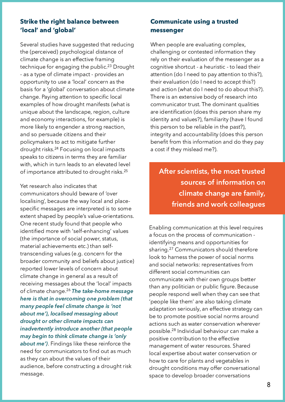#### Strike the right balance between ʻlocal' and ʻglobal'

Several studies have suggested that reducing the (perceived) psychological distance of climate change is an effective framing technique for engaging the public.<sup>23</sup> Drought - as a type of climate impact - provides an opportunity to use a 'local' concern as the basis for a 'qlobal' conversation about climate change. Paying attention to specific local examples of how drought manifests (what is unique about the landscape, region, culture and economy interactions, for example) is more likely to engender a strong reaction, and so persuade citizens and their policymakers to act to mitigate further drought risks.<sup>24</sup> Focusing on local impacts speaks to citizens in terms they are familiar with, which in turn leads to an elevated level of importance attributed to drought risks. $^{25}$ 

Yet research also indicates that communicators should beware of 'over localising', because the way local and placespecific messages are interpreted is to some extent shaped by people's value-orientations. One recent study found that people who identified more with 'self-enhancing' values (the importance of social power, status, material achievements etc.) than selftranscending values (e.g. concern for the broader community and beliefs about justice) reported lower levels of concern about climate change in general as a result of receiving messages about the 'local' impacts of climate change.<sup>26</sup> **The take-home message** here is that in overcoming one problem (that many people feel climate change is 'not about me'), localised messaging about drought or other climate impacts can inadvertently introduce another (that people may begin to think climate change is 'only **about me')**. Findings like these reinforce the need for communicators to find out as much as they can about the values of their audience, before constructing a drought risk message.

#### **Communicate using a trusted** messenger

When people are evaluating complex, challenging or contested information they rely on their evaluation of the messenger as a cognitive shortcut - a heuristic - to lead their attention (do I need to pay attention to this?), their evaluation (do I need to accept this?) and action (what do I need to do about this?). There is an extensive body of research into communicator trust. The dominant qualities are identification (does this person share my identity and values?), familiarity (have I found this person to be reliable in the past?), integrity and accountability (does this person benefit from this information and do they pay a cost if they mislead me?).

After scientists, the most trusted sources of information on climate change are family, friends and work colleagues

Enabling communication at this level requires a focus on the process of communication identifying means and opportunities for sharing.<sup>27</sup> Communicators should therefore look to harness the power of social norms and social networks: representatives from different social communities can communicate with their own groups better than any politician or public figure. Because people respond well when they can see that 'people like them' are also taking climate adaptation seriously, an effective strategy can be to promote positive social norms around actions such as water conservation wherever possible.<sup>28</sup> Individual behaviour can make a positive contribution to the effective management of water resources. Shared local expertise about water conservation or how to care for plants and vegetables in drought conditions may offer conversational space to develop broader conversations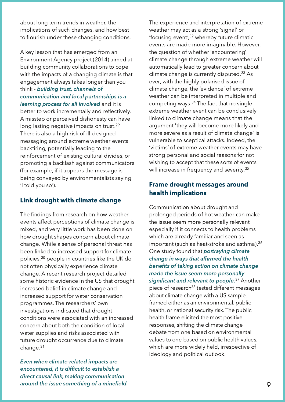about long term trends in weather, the implications of such changes, and how best to flourish under these changing conditions.

A key lesson that has emerged from an Environment Agency project (2014) aimed at building community collaborations to cope with the impacts of a changing climate is that engagement always takes longer than you think - building trust, channels of communication and local partnerships is a

learning process for all involved and it is better to work incrementally and reflectively. A misstep or perceived dishonesty can have long lasting negative impacts on trust.<sup>29</sup> There is also a high risk of ill-designed messaging around extreme weather events backfiring, potentially leading to the reinforcement of existing cultural divides, or promoting a backlash against communicators (for example, if it appears the message is being conveyed by environmentalists saying 'I told you so').

#### Link drought with climate change

The findings from research on how weather events affect perceptions of climate change is mixed, and very little work has been done on how drought shapes concern about climate change. While a sense of personal threat has been linked to increased support for climate policies,<sup>30</sup> people in countries like the UK do not often physically experience climate change. A recent research project detailed some historic evidence in the US that drought increased belief in climate change and increased support for water conservation programmes. The researchers' own investigations indicated that drought conditions were associated with an increased concern about both the condition of local water supplies and risks associated with future drought occurrence due to climate change.<sup>31</sup>

Even when climate-related impacts are encountered, it is difficult to establish a direct causal link, making communication around the issue something of a minefield.

The experience and interpretation of extreme weather may act as a strong 'signal' or 'focusing event', $^{32}$  whereby future climatic events are made more imaginable. However, the question of whether 'encountering' climate change through extreme weather will automatically lead to greater concern about climate change is currently disputed.<sup>33</sup> As ever, with the highly polarised issue of climate change, the 'evidence' of extreme weather can be interpreted in multiple and competing ways.<sup>34</sup> The fact that no single extreme weather event can be conclusively linked to climate change means that the argument 'they will become more likely anc more severe as a result of climate change' is vulnerable to sceptical attacks. Indeed, the 'victims' of extreme weather events may have strong personal and social reasons for not wishing to accept that these sorts of events will increase in frequency and severity. $35$ 

#### **Frame drought messages around** health implications

Communication about drought and prolonged periods of hot weather can make the issue seem more personally relevant especially if it connects to health problems which are already familiar and seen as important (such as heat-stroke and asthma). $36$ One study found that *portraying climate* change in ways that affirmed the health benefits of taking action on climate change made the issue seem more personally <mark>significant and relevant to people.<sup>37</sup> A</mark>nother piece of research<sup>38</sup> tested different messages about climate change with a US sample, framed either as an environmental, public health, or national security risk. The public health frame elicited the most positive responses, shifting the climate change debate from one based on environmental values to one based on public health values, which are more widely held, irrespective of ideology and political outlook.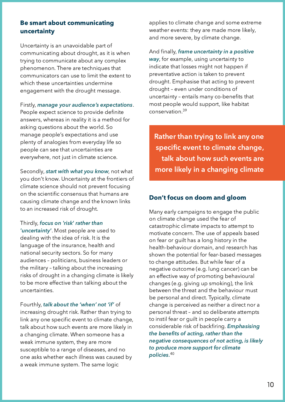#### **Be smart about communicating** uncertainty

Uncertainty is an unavoidable part of communicating about drought, as it is when trying to communicate about any complex phenomenon. There are techniques that communicators can use to limit the extent to which these uncertainties undermine engagement with the drought message.

Firstly, manage your audience's expectations. People expect science to provide definite answers, whereas in reality it is a method for asking questions about the world. So manage people's expectations and use plenty of analogies from everyday life so people can see that uncertainties are everywhere, not just in climate science.

Secondly, start with what you know, not what you don't know. Uncertainty at the frontiers of climate science should not prevent focusing on the scientific consensus that humans are causing climate change and the known links to an increased risk of drought.

Thirdly, focus on 'risk' rather than 'uncertainty'. Most people are used to dealing with the idea of risk. It is the language of the insurance, health and national security sectors. So for many audiences - politicians, business leaders or the military - talking about the increasing risks of drought in a changing climate is likely to be more effective than talking about the uncertainties.

Fourthly, talk about the 'when' not 'if' of increasing drought risk. Rather than trying to link any one specific event to climate change, talk about how such events are more likely in a changing climate. When someone has a weak immune system, they are more susceptible to a range of diseases, and no one asks whether each illness was caused by a weak immune system. The same logic

applies to climate change and some extreme weather events: they are made more likely, and more severe, by climate change.

And finally, frame uncertainty in a positive way, for example, using uncertainty to indicate that losses might not happen if preventative action is taken to prevent drought. Emphasise that acting to prevent drought - even under conditions of uncertainty - entails many co-benefits that most people would support, like habitat conservation.<sup>39</sup>

Rather than trying to link any one specific event to climate change, talk about how such events are more likely in a changing climate

#### Don't focus on doom and gloom

Many early campaigns to engage the public on climate change used the fear of catastrophic climate impacts to attempt to motivate concern. The use of appeals based on fear or quilt has a long history in the health-behaviour domain, and research has shown the potential for fear-based messages to change attitudes. But while fear of a negative outcome (e.g. lung cancer) can be an effective way of promoting behavioural changes (e.g. giving up smoking), the link between the threat and the behaviour must be personal and direct. Typically, climate change is perceived as neither a direct nor a personal threat - and so deliberate attempts to instil fear or quilt in people carry a considerable risk of backfiring. Emphasising the benefits of acting, rather than the negative consequences of not acting, is likely to produce more support for climate policies. $^{40}$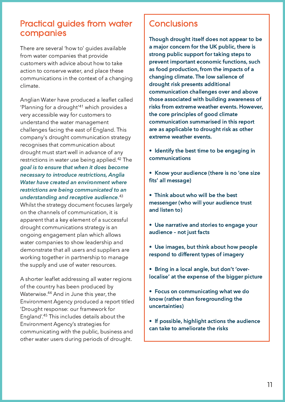## **Practical guides from water** companies

There are several 'how to' guides available from water companies that provide customers with advice about how to take action to conserve water, and place these communications in the context of a changing climate.

Anglian Water have produced a leaflet called 'Planning for a drought'41 which provides a very accessible way for customers to understand the water management challenges facing the east of England. This company's drought communication strategy recognises that communication about drought must start well in advance of any restrictions in water use being applied.<sup>42</sup> The goal is to ensure that when it does become necessary to introduce restrictions, Anglia Water have created an environment where restrictions are being communicated to an understanding and receptive audience.<sup>43</sup> Whilst the strategy document focuses largely on the channels of communication, it is apparent that a key element of a successful drought communications strategy is an ongoing engagement plan which allows water companies to show leadership and demonstrate that all users and suppliers are working together in partnership to manage the supply and use of water resources.

A shorter leaflet addressing all water regions of the country has been produced by Waterwise.<sup>44</sup> And in June this year, the Environment Agency produced a report titled 'Drought response: our framework for England'.<sup>45</sup> This includes details about the Environment Agency's strategies for communicating with the public, business and other water users during periods of drought.

# **Conclusions**

Though drought itself does not appear to be a major concern for the UK public, there is strong public support for taking steps to prevent important economic functions, such as food production, from the impacts of a changing climate. The low salience of drought risk presents additional communication challenges over and above those associated with building awareness of risks from extreme weather events. However, the core principles of good climate communication summarised in this report are as applicable to drought risk as other extreme weather events.

- Identify the best time to be engaging in communications
- Know your audience (there is no 'one size fits' all message)

. Think about who will be the best messenger (who will your audience trust and listen to)

- Use narrative and stories to engage your audience - not just facts
- Use images, but think about how people respond to different types of imagery
- . Bring in a local angle, but don't 'overlocalise' at the expense of the bigger picture
- Focus on communicating what we do know (rather than foregrounding the uncertainties)
- If possible, highlight actions the audience can take to ameliorate the risks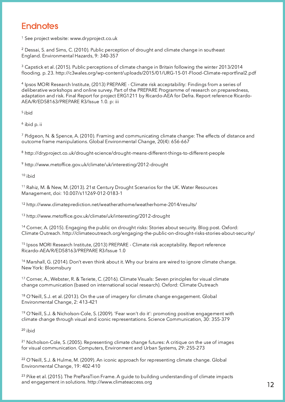# **Endnotes**

<sup>1</sup> See project website: www.dryproject.co.uk

 $^{\rm 2}$  Dessai, S. and Sims, C. (2010). Public perception of drought and climate change in southeast England. Environmental Hazards, 9: 340-357

 $^{\rm 3}$  Capstick et al. (2015). Public perceptions of climate change in Britain following the winter 2013/2014 tlooding. p. 23. http://c3wales.org/wp-content/uploads/2015/01/URG-15-01-Flood-Climate-reportfinal2.pdf

 $^{\text{4}}$  Ipsos MORI Research Institute, (2013) PREPARE - Climate risk acceptability: Findings from a series of deliberative workshops and online survey. Part of the PREPARE Programme of research on preparedness, adaptation and risk. Final Report for project ERG1211 by Ricardo-AEA for Defra. Report reference Ricardo-AEA/R/ED58163/PREPARE R3/Issue 1.0. p: iii

<sup>5</sup> ibid

<sup>6</sup> ibid p. ii

 $^7$  Pidgeon, N. & Spence, A. (2010). Framing and communicating climate change: The effects of distance anc outcome frame manipulations. Global Environmental Change, 20(4): 656-667

 $^8$  http://dryproject.co.uk/drought-science/drought-means-different-things-to-different-people

<sup>9</sup> http://www.metoffice.gov.uk/climate/uk/interesting/2012-drought

 $10$  ibid

 $^{\text{11}}$  Rahiz, M. & New, M. (2013). 21st Century Drought Scenarios for the UK. Water Resources Management, doi: 10.007/s11269-012-0183-1

<sup>12</sup> http://www.climateprediction.net/weatherathome/weatherhome-2014/results/

<sup>13</sup> http://www.metoffice.gov.uk/climate/uk/interesting/2012-drought

 $^\text{14}$  Corner, A. (2015). Engaging the public on drought risks: Stories about security. Blog post. Oxford: Climate Outreach, http://climateoutreach.org/engaging-the-public-on-drought-risks-stories-about-security/

<sup>15</sup> Ipsos MORI Research Institute, (2013) PREPARE - Climate risk acceptability. Report reference Ricardo-AEA/R/ED58163/PREPARE R3/Issue 1.0

 $^{\rm 16}$  Marshall, G. (2014). Don't even think about it. Why our brains are wired to ignore climate change. New York: Bloomsbury

 $^\text{17}$  Corner, A., Webster, R. & Teriete, C. (2016). Climate Visuals: Seven principles for visual climate change communication (based on international social research). Oxford: Climate Outreach

 $^\textrm{18}$  O'Neill, S.J. et al. (2013). On the use of imagery for climate change engagement. Globa Environmental Change, 2: 413-421

<sup>19</sup> O'Neill, S.J. & Nicholson-Cole, S. (2009). 'Fear won't do it': promoting positive engagement with climate change through visual and iconic representations. Science Communication, 30: 355-379

<sup>20</sup> ibid

<sup>21</sup> Nicholson-Cole, S. (2005). Representing climate change futures: A critique on the use of images for visual communication. Computers, Environment and Urban Systems, 29: 255-273

<sup>22</sup> O'Neill, S.J. & Hulme, M. (2009). An iconic approach for representing climate change. Globa Environmental Change, 19: 402-410

 $^{\rm 23}$  Pike et al. (2015). The PreParaTion Frame. A guide to building understanding of climate impacts and engagement in solutions. http://www.climateaccess.org